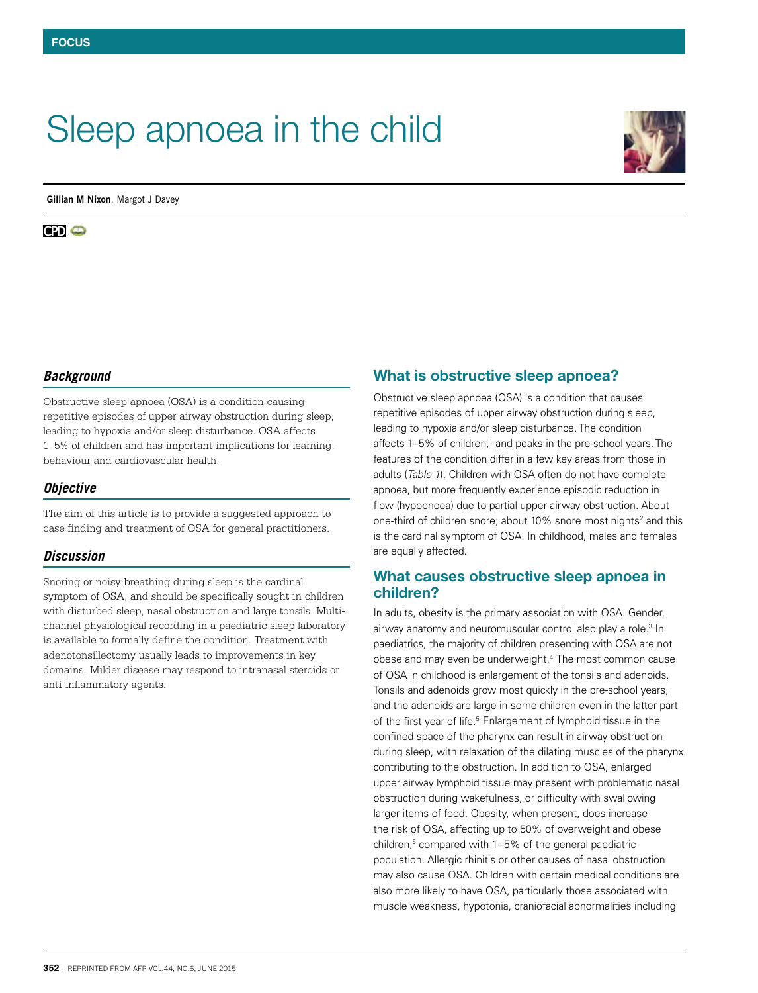# Sleep apnoea in the child



**Gillian M Nixon**, Margot J Davey

**CD** o

## *Background*

Obstructive sleep apnoea (OSA) is a condition causing repetitive episodes of upper airway obstruction during sleep, leading to hypoxia and/or sleep disturbance. OSA affects 1–5% of children and has important implications for learning, behaviour and cardiovascular health.

## *Objective*

The aim of this article is to provide a suggested approach to case finding and treatment of OSA for general practitioners.

## *Discussion*

Snoring or noisy breathing during sleep is the cardinal symptom of OSA, and should be specifically sought in children with disturbed sleep, nasal obstruction and large tonsils. Multichannel physiological recording in a paediatric sleep laboratory is available to formally define the condition. Treatment with adenotonsillectomy usually leads to improvements in key domains. Milder disease may respond to intranasal steroids or anti-inflammatory agents.

## What is obstructive sleep apnoea?

Obstructive sleep apnoea (OSA) is a condition that causes repetitive episodes of upper airway obstruction during sleep, leading to hypoxia and/or sleep disturbance. The condition affects 1–5% of children,<sup>1</sup> and peaks in the pre-school years. The features of the condition differ in a few key areas from those in adults (*Table 1*). Children with OSA often do not have complete apnoea, but more frequently experience episodic reduction in flow (hypopnoea) due to partial upper airway obstruction. About one-third of children snore; about 10% snore most nights<sup>2</sup> and this is the cardinal symptom of OSA. In childhood, males and females are equally affected.

## What causes obstructive sleep apnoea in children?

In adults, obesity is the primary association with OSA. Gender, airway anatomy and neuromuscular control also play a role.<sup>3</sup> In paediatrics, the majority of children presenting with OSA are not obese and may even be underweight.<sup>4</sup> The most common cause of OSA in childhood is enlargement of the tonsils and adenoids. Tonsils and adenoids grow most quickly in the pre-school years, and the adenoids are large in some children even in the latter part of the first year of life.<sup>5</sup> Enlargement of lymphoid tissue in the confined space of the pharynx can result in airway obstruction during sleep, with relaxation of the dilating muscles of the pharynx contributing to the obstruction. In addition to OSA, enlarged upper airway lymphoid tissue may present with problematic nasal obstruction during wakefulness, or difficulty with swallowing larger items of food. Obesity, when present, does increase the risk of OSA, affecting up to 50% of overweight and obese children, $6$  compared with  $1-5%$  of the general paediatric population. Allergic rhinitis or other causes of nasal obstruction may also cause OSA. Children with certain medical conditions are also more likely to have OSA, particularly those associated with muscle weakness, hypotonia, craniofacial abnormalities including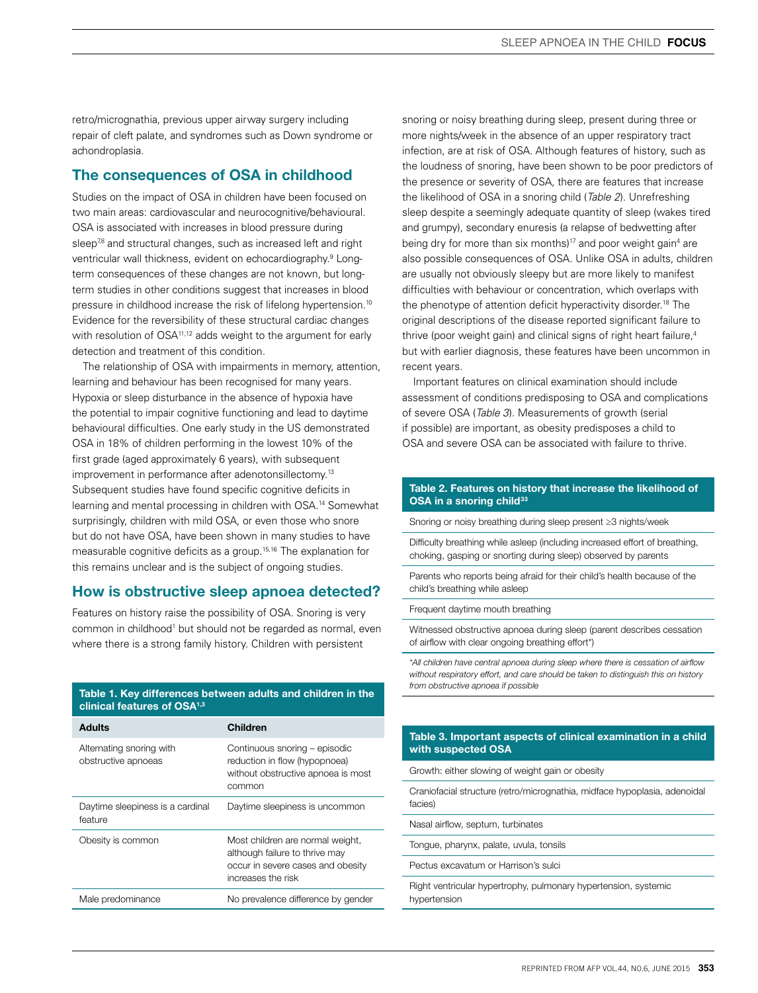retro/micrognathia, previous upper airway surgery including repair of cleft palate, and syndromes such as Down syndrome or achondroplasia.

# The consequences of OSA in childhood

Studies on the impact of OSA in children have been focused on two main areas: cardiovascular and neurocognitive/behavioural. OSA is associated with increases in blood pressure during sleep<sup>78</sup> and structural changes, such as increased left and right ventricular wall thickness, evident on echocardiography.<sup>9</sup> Longterm consequences of these changes are not known, but longterm studies in other conditions suggest that increases in blood pressure in childhood increase the risk of lifelong hypertension.10 Evidence for the reversibility of these structural cardiac changes with resolution of OSA<sup>11,12</sup> adds weight to the argument for early detection and treatment of this condition.

The relationship of OSA with impairments in memory, attention, learning and behaviour has been recognised for many years. Hypoxia or sleep disturbance in the absence of hypoxia have the potential to impair cognitive functioning and lead to daytime behavioural difficulties. One early study in the US demonstrated OSA in 18% of children performing in the lowest 10% of the first grade (aged approximately 6 years), with subsequent improvement in performance after adenotonsillectomy.<sup>13</sup> Subsequent studies have found specific cognitive deficits in learning and mental processing in children with OSA.14 Somewhat surprisingly, children with mild OSA, or even those who snore but do not have OSA, have been shown in many studies to have measurable cognitive deficits as a group.15,16 The explanation for this remains unclear and is the subject of ongoing studies.

## How is obstructive sleep apnoea detected?

Features on history raise the possibility of OSA. Snoring is very common in childhood<sup>1</sup> but should not be regarded as normal, even where there is a strong family history. Children with persistent

Table 1. Key differences between adults and children in the clinical features of OSA1,3

| Adults                                          | Children                                                                                                                      |
|-------------------------------------------------|-------------------------------------------------------------------------------------------------------------------------------|
| Alternating snoring with<br>obstructive apnoeas | Continuous snoring - episodic<br>reduction in flow (hypopnoea)<br>without obstructive apnoea is most<br>common                |
| Daytime sleepiness is a cardinal<br>feature     | Daytime sleepiness is uncommon                                                                                                |
| Obesity is common                               | Most children are normal weight,<br>although failure to thrive may<br>occur in severe cases and obesity<br>increases the risk |
| Male predominance                               | No prevalence difference by gender                                                                                            |

snoring or noisy breathing during sleep, present during three or more nights/week in the absence of an upper respiratory tract infection, are at risk of OSA. Although features of history, such as the loudness of snoring, have been shown to be poor predictors of the presence or severity of OSA, there are features that increase the likelihood of OSA in a snoring child (*Table 2*). Unrefreshing sleep despite a seemingly adequate quantity of sleep (wakes tired and grumpy), secondary enuresis (a relapse of bedwetting after being dry for more than six months)<sup>17</sup> and poor weight gain<sup>4</sup> are also possible consequences of OSA. Unlike OSA in adults, children are usually not obviously sleepy but are more likely to manifest difficulties with behaviour or concentration, which overlaps with the phenotype of attention deficit hyperactivity disorder.18 The original descriptions of the disease reported significant failure to thrive (poor weight gain) and clinical signs of right heart failure,<sup>4</sup> but with earlier diagnosis, these features have been uncommon in recent years.

Important features on clinical examination should include assessment of conditions predisposing to OSA and complications of severe OSA (*Table 3*). Measurements of growth (serial if possible) are important, as obesity predisposes a child to OSA and severe OSA can be associated with failure to thrive.

## Table 2. Features on history that increase the likelihood of OSA in a snoring child<sup>33</sup>

Snoring or noisy breathing during sleep present ≥3 nights/week

Difficulty breathing while asleep (including increased effort of breathing, choking, gasping or snorting during sleep) observed by parents

Parents who reports being afraid for their child's health because of the child's breathing while asleep

### Frequent daytime mouth breathing

Witnessed obstructive apnoea during sleep (parent describes cessation of airflow with clear ongoing breathing effort\*)

*\*All children have central apnoea during sleep where there is cessation of airflow without respiratory effort, and care should be taken to distinguish this on history from obstructive apnoea if possible*

## Table 3. Important aspects of clinical examination in a child with suspected OSA

Growth: either slowing of weight gain or obesity

Craniofacial structure (retro/micrognathia, midface hypoplasia, adenoidal facies)

Nasal airflow, septum, turbinates

Tongue, pharynx, palate, uvula, tonsils

Pectus excavatum or Harrison's sulci

Right ventricular hypertrophy, pulmonary hypertension, systemic hypertension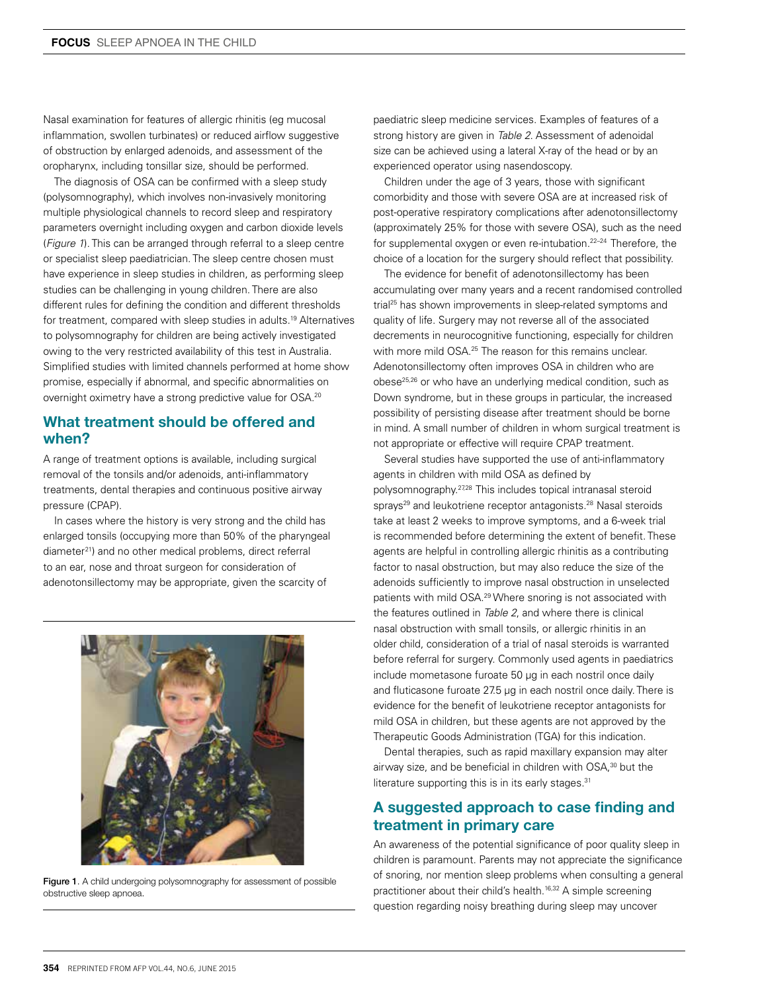Nasal examination for features of allergic rhinitis (eg mucosal inflammation, swollen turbinates) or reduced airflow suggestive of obstruction by enlarged adenoids, and assessment of the oropharynx, including tonsillar size, should be performed.

The diagnosis of OSA can be confirmed with a sleep study (polysomnography), which involves non-invasively monitoring multiple physiological channels to record sleep and respiratory parameters overnight including oxygen and carbon dioxide levels (*Figure 1*). This can be arranged through referral to a sleep centre or specialist sleep paediatrician. The sleep centre chosen must have experience in sleep studies in children, as performing sleep studies can be challenging in young children. There are also different rules for defining the condition and different thresholds for treatment, compared with sleep studies in adults.<sup>19</sup> Alternatives to polysomnography for children are being actively investigated owing to the very restricted availability of this test in Australia. Simplified studies with limited channels performed at home show promise, especially if abnormal, and specific abnormalities on overnight oximetry have a strong predictive value for OSA.20

## What treatment should be offered and when?

A range of treatment options is available, including surgical removal of the tonsils and/or adenoids, anti-inflammatory treatments, dental therapies and continuous positive airway pressure (CPAP).

In cases where the history is very strong and the child has enlarged tonsils (occupying more than 50% of the pharyngeal diameter<sup>21</sup>) and no other medical problems, direct referral to an ear, nose and throat surgeon for consideration of adenotonsillectomy may be appropriate, given the scarcity of



Figure 1. A child undergoing polysomnography for assessment of possible obstructive sleep apnoea.

paediatric sleep medicine services. Examples of features of a strong history are given in *Table 2*. Assessment of adenoidal size can be achieved using a lateral X-ray of the head or by an experienced operator using nasendoscopy.

Children under the age of 3 years, those with significant comorbidity and those with severe OSA are at increased risk of post-operative respiratory complications after adenotonsillectomy (approximately 25% for those with severe OSA), such as the need for supplemental oxygen or even re-intubation.22–24 Therefore, the choice of a location for the surgery should reflect that possibility.

The evidence for benefit of adenotonsillectomy has been accumulating over many years and a recent randomised controlled trial<sup>25</sup> has shown improvements in sleep-related symptoms and quality of life. Surgery may not reverse all of the associated decrements in neurocognitive functioning, especially for children with more mild OSA.<sup>25</sup> The reason for this remains unclear. Adenotonsillectomy often improves OSA in children who are obese25,26 or who have an underlying medical condition, such as Down syndrome, but in these groups in particular, the increased possibility of persisting disease after treatment should be borne in mind. A small number of children in whom surgical treatment is not appropriate or effective will require CPAP treatment.

Several studies have supported the use of anti-inflammatory agents in children with mild OSA as defined by polysomnography.27,28 This includes topical intranasal steroid sprays<sup>29</sup> and leukotriene receptor antagonists.<sup>28</sup> Nasal steroids take at least 2 weeks to improve symptoms, and a 6-week trial is recommended before determining the extent of benefit. These agents are helpful in controlling allergic rhinitis as a contributing factor to nasal obstruction, but may also reduce the size of the adenoids sufficiently to improve nasal obstruction in unselected patients with mild OSA.29 Where snoring is not associated with the features outlined in *Table 2*, and where there is clinical nasal obstruction with small tonsils, or allergic rhinitis in an older child, consideration of a trial of nasal steroids is warranted before referral for surgery. Commonly used agents in paediatrics include mometasone furoate 50 µg in each nostril once daily and fluticasone furoate 27.5 µg in each nostril once daily. There is evidence for the benefit of leukotriene receptor antagonists for mild OSA in children, but these agents are not approved by the Therapeutic Goods Administration (TGA) for this indication.

Dental therapies, such as rapid maxillary expansion may alter airway size, and be beneficial in children with OSA,<sup>30</sup> but the literature supporting this is in its early stages.<sup>31</sup>

# A suggested approach to case finding and treatment in primary care

An awareness of the potential significance of poor quality sleep in children is paramount. Parents may not appreciate the significance of snoring, nor mention sleep problems when consulting a general practitioner about their child's health.<sup>16,32</sup> A simple screening question regarding noisy breathing during sleep may uncover